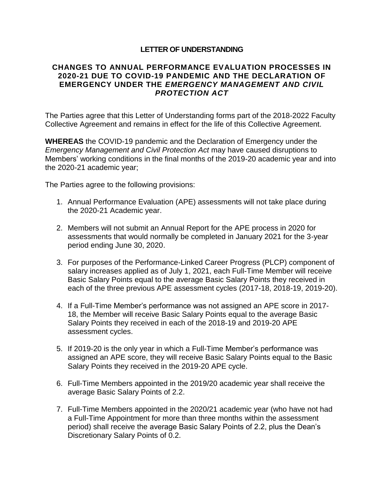## **LETTER OF UNDERSTANDING**

## **CHANGES TO ANNUAL PERFORMANCE EVALUATION PROCESSES IN 2020-21 DUE TO COVID-19 PANDEMIC AND THE DECLARATION OF EMERGENCY UNDER THE** *EMERGENCY MANAGEMENT AND CIVIL PROTECTION ACT*

The Parties agree that this Letter of Understanding forms part of the 2018-2022 Faculty Collective Agreement and remains in effect for the life of this Collective Agreement.

**WHEREAS** the COVID-19 pandemic and the Declaration of Emergency under the *Emergency Management and Civil Protection Act* may have caused disruptions to Members' working conditions in the final months of the 2019-20 academic year and into the 2020-21 academic year;

The Parties agree to the following provisions:

- 1. Annual Performance Evaluation (APE) assessments will not take place during the 2020-21 Academic year.
- 2. Members will not submit an Annual Report for the APE process in 2020 for assessments that would normally be completed in January 2021 for the 3-year period ending June 30, 2020.
- 3. For purposes of the Performance-Linked Career Progress (PLCP) component of salary increases applied as of July 1, 2021, each Full-Time Member will receive Basic Salary Points equal to the average Basic Salary Points they received in each of the three previous APE assessment cycles (2017-18, 2018-19, 2019-20).
- 4. If a Full-Time Member's performance was not assigned an APE score in 2017- 18, the Member will receive Basic Salary Points equal to the average Basic Salary Points they received in each of the 2018-19 and 2019-20 APE assessment cycles.
- 5. If 2019-20 is the only year in which a Full-Time Member's performance was assigned an APE score, they will receive Basic Salary Points equal to the Basic Salary Points they received in the 2019-20 APE cycle.
- 6. Full-Time Members appointed in the 2019/20 academic year shall receive the average Basic Salary Points of 2.2.
- 7. Full-Time Members appointed in the 2020/21 academic year (who have not had a Full-Time Appointment for more than three months within the assessment period) shall receive the average Basic Salary Points of 2.2, plus the Dean's Discretionary Salary Points of 0.2.